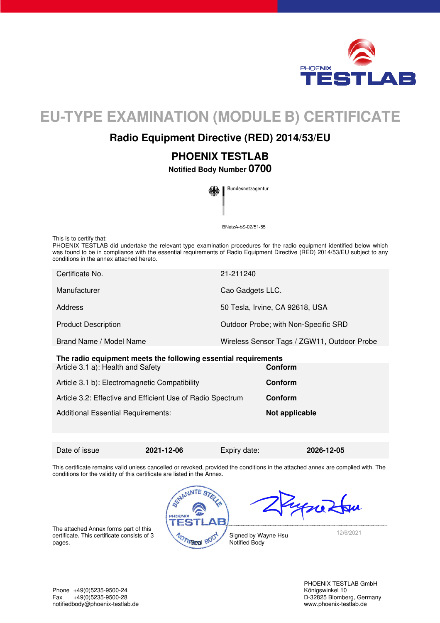

# **EU-TYPE EXAMINATION (MODULE B) CERTIFICATE**

## **Radio Equipment Directive (RED) 2014/53/EU**

**PHOENIX TESTLAB** 

**Notified Body Number 0700** 



BNetzA-bS-02/51-55

This is to certify that:

PHOENIX TESTLAB did undertake the relevant type examination procedures for the radio equipment identified below which was found to be in compliance with the essential requirements of Radio Equipment Directive (RED) 2014/53/EU subject to any conditions in the annex attached hereto.

| Certificate No.                                                | 21-211240                                   |  |  |
|----------------------------------------------------------------|---------------------------------------------|--|--|
| Manufacturer                                                   | Cao Gadgets LLC.                            |  |  |
| Address                                                        | 50 Tesla, Irvine, CA 92618, USA             |  |  |
| <b>Product Description</b>                                     | Outdoor Probe; with Non-Specific SRD        |  |  |
| Brand Name / Model Name                                        | Wireless Sensor Tags / ZGW11, Outdoor Probe |  |  |
| The radio equipment meets the following essential requirements |                                             |  |  |
| Article 3.1 a): Health and Safety                              | Conform                                     |  |  |

| Article 3.1 b): Electromagnetic Compatibility              | Conform        |
|------------------------------------------------------------|----------------|
| Article 3.2: Effective and Efficient Use of Radio Spectrum | <b>Conform</b> |
| <b>Additional Essential Requirements:</b>                  | Not applicable |

Date of issue **2021-12-06** Expiry date: **2026-12-05** 

This certificate remains valid unless cancelled or revoked, provided the conditions in the attached annex are complied with. The conditions for the validity of this certificate are listed in the Annex.





The attached Annex forms part of this certificate. This certificate consists of 3 certificate. This certificate consists of 3<br>pages.

Signed by Wayne Hsu Notified Body

12/6/2021

Phone +49(0)5235-9500-24<br>
Fax +49(0)5235-9500-28 Case Control of the Control of the Control of the Control of the Control of the Control of the Control of the Control of the Control of the Control of the Control of the Con Fax +49(0)5235-9500-28 D-32825 Blomberg, Germany<br>
notifiedbody@phoenix-testlab.de<br>
www.phoenix-testlab.de notifiedbody@phoenix-testlab.de

PHOENIX TESTLAB GmbH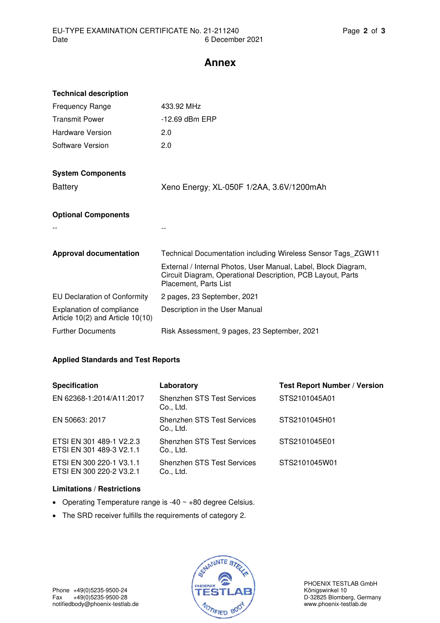### **Annex**

| <b>Technical description</b>                                             |                                                                                                                                                        |
|--------------------------------------------------------------------------|--------------------------------------------------------------------------------------------------------------------------------------------------------|
| <b>Frequency Range</b>                                                   | 433.92 MHz                                                                                                                                             |
| <b>Transmit Power</b>                                                    | $-12.69$ dBm ERP                                                                                                                                       |
| Hardware Version                                                         | 2.0                                                                                                                                                    |
| Software Version                                                         | 2.0                                                                                                                                                    |
| <b>System Components</b>                                                 |                                                                                                                                                        |
| <b>Battery</b>                                                           | Xeno Energy; XL-050F 1/2AA, 3.6V/1200mAh                                                                                                               |
| <b>Optional Components</b>                                               |                                                                                                                                                        |
|                                                                          |                                                                                                                                                        |
| <b>Approval documentation</b>                                            | Technical Documentation including Wireless Sensor Tags_ZGW11                                                                                           |
|                                                                          | External / Internal Photos, User Manual, Label, Block Diagram,<br>Circuit Diagram, Operational Description, PCB Layout, Parts<br>Placement, Parts List |
| <b>EU Declaration of Conformity</b>                                      | 2 pages, 23 September, 2021                                                                                                                            |
| <b>Explanation of compliance</b><br>Article $10(2)$ and Article $10(10)$ | Description in the User Manual                                                                                                                         |
| <b>Further Documents</b>                                                 | Risk Assessment, 9 pages, 23 September, 2021                                                                                                           |

#### **Applied Standards and Test Reports**

| <b>Specification</b>                                 | Laboratory                                     | <b>Test Report Number / Version</b> |
|------------------------------------------------------|------------------------------------------------|-------------------------------------|
| EN 62368-1:2014/A11:2017                             | <b>Shenzhen STS Test Services</b><br>Co., Ltd. | STS2101045A01                       |
| EN 50663: 2017                                       | <b>Shenzhen STS Test Services</b><br>Co., Ltd. | STS2101045H01                       |
| ETSI EN 301 489-1 V2.2.3<br>ETSI EN 301 489-3 V2.1.1 | <b>Shenzhen STS Test Services</b><br>Co., Ltd. | STS2101045E01                       |
| ETSI EN 300 220-1 V3.1.1<br>ETSI EN 300 220-2 V3.2.1 | <b>Shenzhen STS Test Services</b><br>Co., Ltd. | STS2101045W01                       |

#### **Limitations / Restrictions**

- Operating Temperature range is -40 ~ +80 degree Celsius.
- The SRD receiver fulfills the requirements of category 2.